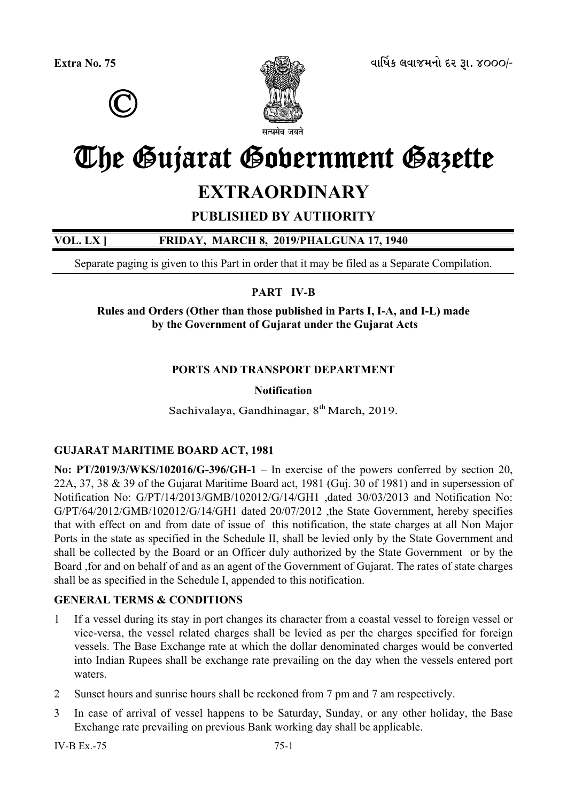



# The Gujarat Government Gazette

## **EXTRAORDINARY**

## **PUBLISHED BY AUTHORITY**

## **VOL. LX ] FRIDAY, MARCH 8, 2019/PHALGUNA 17, 1940**

Separate paging is given to this Part in order that it may be filed as a Separate Compilation.

## **PART IV-B**

**Rules and Orders (Other than those published in Parts I, I-A, and I-L) made by the Government of Gujarat under the Gujarat Acts** 

## **PORTS AND TRANSPORT DEPARTMENT**

## **Notification**

Sachivalaya, Gandhinagar,  $8<sup>th</sup> March$ , 2019.

## **GUJARAT MARITIME BOARD ACT, 1981**

**No: PT/2019/3/WKS/102016/G-396/GH-1** – In exercise of the powers conferred by section 20, 22A, 37, 38 & 39 of the Gujarat Maritime Board act, 1981 (Guj. 30 of 1981) and in supersession of Notification No: G/PT/14/2013/GMB/102012/G/14/GH1 ,dated 30/03/2013 and Notification No: G/PT/64/2012/GMB/102012/G/14/GH1 dated 20/07/2012 ,the State Government, hereby specifies that with effect on and from date of issue of this notification, the state charges at all Non Major Ports in the state as specified in the Schedule II, shall be levied only by the State Government and shall be collected by the Board or an Officer duly authorized by the State Government or by the Board ,for and on behalf of and as an agent of the Government of Gujarat. The rates of state charges shall be as specified in the Schedule I, appended to this notification.

## **GENERAL TERMS & CONDITIONS**

- 1 If a vessel during its stay in port changes its character from a coastal vessel to foreign vessel or vice-versa, the vessel related charges shall be levied as per the charges specified for foreign vessels. The Base Exchange rate at which the dollar denominated charges would be converted into Indian Rupees shall be exchange rate prevailing on the day when the vessels entered port waters.
- 2 Sunset hours and sunrise hours shall be reckoned from 7 pm and 7 am respectively.
- 3 In case of arrival of vessel happens to be Saturday, Sunday, or any other holiday, the Base Exchange rate prevailing on previous Bank working day shall be applicable.

 $IV-B Fx - 75$  75-1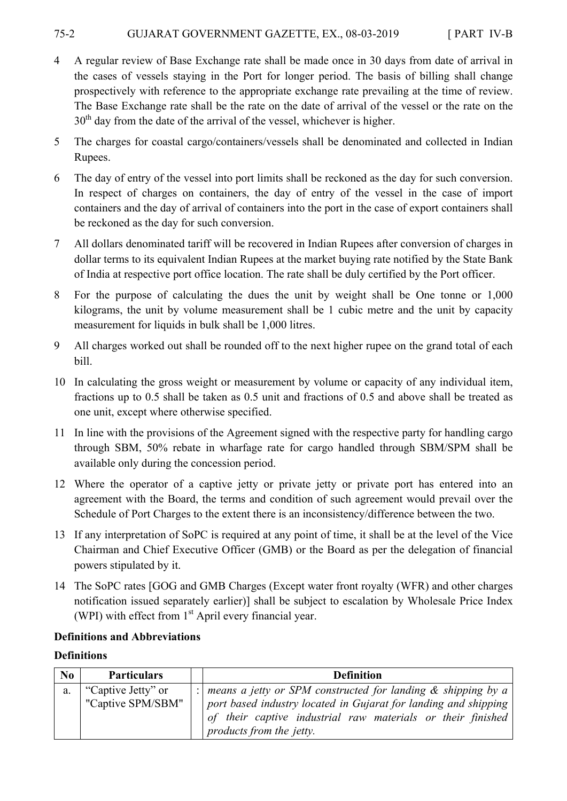#### 75-2 GUJARAT GOVERNMENT GAZETTE, EX., 08-03-2019 [ PART IV-B

- 4 A regular review of Base Exchange rate shall be made once in 30 days from date of arrival in the cases of vessels staying in the Port for longer period. The basis of billing shall change prospectively with reference to the appropriate exchange rate prevailing at the time of review. The Base Exchange rate shall be the rate on the date of arrival of the vessel or the rate on the 30<sup>th</sup> day from the date of the arrival of the vessel, whichever is higher.
- 5 The charges for coastal cargo/containers/vessels shall be denominated and collected in Indian Rupees.
- 6 The day of entry of the vessel into port limits shall be reckoned as the day for such conversion. In respect of charges on containers, the day of entry of the vessel in the case of import containers and the day of arrival of containers into the port in the case of export containers shall be reckoned as the day for such conversion.
- 7 All dollars denominated tariff will be recovered in Indian Rupees after conversion of charges in dollar terms to its equivalent Indian Rupees at the market buying rate notified by the State Bank of India at respective port office location. The rate shall be duly certified by the Port officer.
- 8 For the purpose of calculating the dues the unit by weight shall be One tonne or 1,000 kilograms, the unit by volume measurement shall be 1 cubic metre and the unit by capacity measurement for liquids in bulk shall be 1,000 litres.
- 9 All charges worked out shall be rounded off to the next higher rupee on the grand total of each bill.
- 10 In calculating the gross weight or measurement by volume or capacity of any individual item, fractions up to 0.5 shall be taken as 0.5 unit and fractions of 0.5 and above shall be treated as one unit, except where otherwise specified.
- 11 In line with the provisions of the Agreement signed with the respective party for handling cargo through SBM, 50% rebate in wharfage rate for cargo handled through SBM/SPM shall be available only during the concession period.
- 12 Where the operator of a captive jetty or private jetty or private port has entered into an agreement with the Board, the terms and condition of such agreement would prevail over the Schedule of Port Charges to the extent there is an inconsistency/difference between the two.
- 13 If any interpretation of SoPC is required at any point of time, it shall be at the level of the Vice Chairman and Chief Executive Officer (GMB) or the Board as per the delegation of financial powers stipulated by it.
- 14 The SoPC rates [GOG and GMB Charges (Except water front royalty (WFR) and other charges notification issued separately earlier)] shall be subject to escalation by Wholesale Price Index (WPI) with effect from  $1<sup>st</sup>$  April every financial year.

## **Definitions and Abbreviations**

## **Definitions**

| N <sub>0</sub> | <b>Particulars</b>                      | <b>Definition</b>                                                                                                                                                                                                                 |
|----------------|-----------------------------------------|-----------------------------------------------------------------------------------------------------------------------------------------------------------------------------------------------------------------------------------|
| a.             | "Captive Jetty" or<br>"Captive SPM/SBM" | :   means a jetty or SPM constructed for landing $\&$ shipping by a<br>port based industry located in Gujarat for landing and shipping<br>of their captive industrial raw materials or their finished<br>products from the jetty. |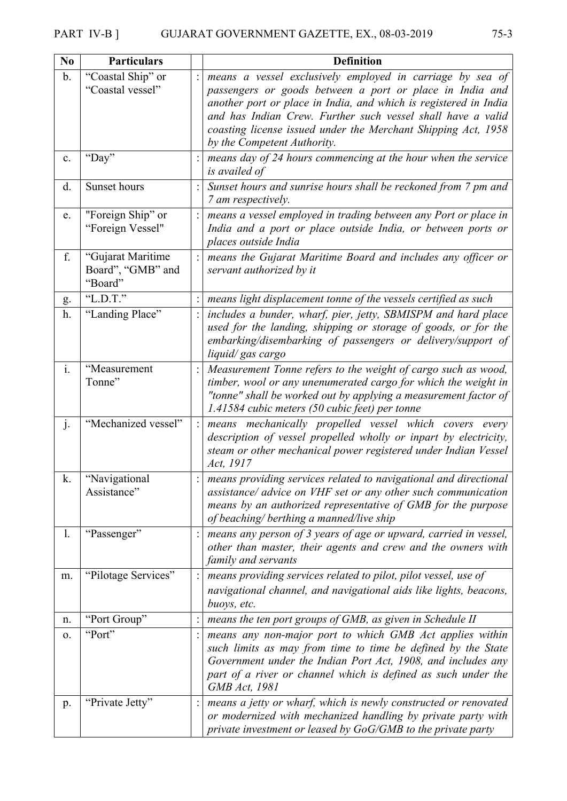| No            | <b>Particulars</b>                                | <b>Definition</b>                                                                                                                                                                                                                                                                                                                                        |  |
|---------------|---------------------------------------------------|----------------------------------------------------------------------------------------------------------------------------------------------------------------------------------------------------------------------------------------------------------------------------------------------------------------------------------------------------------|--|
| $\mathbf b$ . | "Coastal Ship" or<br>"Coastal vessel"             | means a vessel exclusively employed in carriage by sea of<br>passengers or goods between a port or place in India and<br>another port or place in India, and which is registered in India<br>and has Indian Crew. Further such vessel shall have a valid<br>coasting license issued under the Merchant Shipping Act, 1958<br>by the Competent Authority. |  |
| c.            | "Day"                                             | means day of 24 hours commencing at the hour when the service<br>is availed of                                                                                                                                                                                                                                                                           |  |
| d.            | Sunset hours                                      | Sunset hours and sunrise hours shall be reckoned from 7 pm and<br>7 am respectively.                                                                                                                                                                                                                                                                     |  |
| e.            | "Foreign Ship" or<br>"Foreign Vessel"             | means a vessel employed in trading between any Port or place in<br>India and a port or place outside India, or between ports or<br>places outside India                                                                                                                                                                                                  |  |
| f.            | "Gujarat Maritime<br>Board", "GMB" and<br>"Board" | means the Gujarat Maritime Board and includes any officer or<br>servant authorized by it                                                                                                                                                                                                                                                                 |  |
| g.            | "L.D.T."                                          | means light displacement tonne of the vessels certified as such                                                                                                                                                                                                                                                                                          |  |
| h.            | "Landing Place"                                   | includes a bunder, wharf, pier, jetty, SBMISPM and hard place<br>used for the landing, shipping or storage of goods, or for the<br>embarking/disembarking of passengers or delivery/support of<br>liquid/gas cargo                                                                                                                                       |  |
| $i$ .         | "Measurement<br>Tonne"                            | Measurement Tonne refers to the weight of cargo such as wood,<br>timber, wool or any unenumerated cargo for which the weight in<br>"tonne" shall be worked out by applying a measurement factor of<br>1.41584 cubic meters (50 cubic feet) per tonne                                                                                                     |  |
| j.            | "Mechanized vessel"                               | means mechanically propelled vessel which covers every<br>description of vessel propelled wholly or inpart by electricity,<br>steam or other mechanical power registered under Indian Vessel<br>Act, 1917                                                                                                                                                |  |
| k.            | "Navigational<br>Assistance"                      | means providing services related to navigational and directional<br>assistance/ advice on VHF set or any other such communication<br>means by an authorized representative of GMB for the purpose<br>of beaching/ berthing a manned/live ship                                                                                                            |  |
| 1.            | "Passenger"                                       | means any person of 3 years of age or upward, carried in vessel,<br>other than master, their agents and crew and the owners with<br>family and servants                                                                                                                                                                                                  |  |
| m.            | "Pilotage Services"                               | means providing services related to pilot, pilot vessel, use of<br>navigational channel, and navigational aids like lights, beacons,<br>buoys, etc.                                                                                                                                                                                                      |  |
| n.            | "Port Group"                                      | means the ten port groups of GMB, as given in Schedule II                                                                                                                                                                                                                                                                                                |  |
| 0.            | "Port"                                            | means any non-major port to which GMB Act applies within<br>such limits as may from time to time be defined by the State<br>Government under the Indian Port Act, 1908, and includes any<br>part of a river or channel which is defined as such under the<br><b>GMB</b> Act, 1981                                                                        |  |
| p.            | "Private Jetty"                                   | means a jetty or wharf, which is newly constructed or renovated<br>or modernized with mechanized handling by private party with<br>private investment or leased by GoG/GMB to the private party                                                                                                                                                          |  |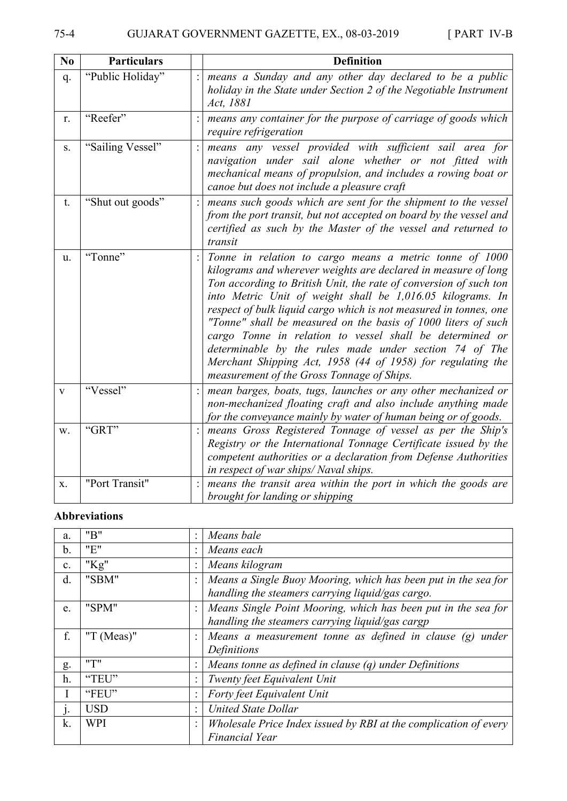| N <sub>0</sub> | <b>Particulars</b> | <b>Definition</b>                                                                                                                                                                                                                                                                                                                                                                                                                                                                                                                                                                                                                     |
|----------------|--------------------|---------------------------------------------------------------------------------------------------------------------------------------------------------------------------------------------------------------------------------------------------------------------------------------------------------------------------------------------------------------------------------------------------------------------------------------------------------------------------------------------------------------------------------------------------------------------------------------------------------------------------------------|
| q.             | "Public Holiday"   | means a Sunday and any other day declared to be a public<br>holiday in the State under Section 2 of the Negotiable Instrument<br>Act, 1881                                                                                                                                                                                                                                                                                                                                                                                                                                                                                            |
| r.             | "Reefer"           | means any container for the purpose of carriage of goods which<br>require refrigeration                                                                                                                                                                                                                                                                                                                                                                                                                                                                                                                                               |
| S.             | "Sailing Vessel"   | means any vessel provided with sufficient sail area for<br>navigation under sail alone whether or not fitted with<br>mechanical means of propulsion, and includes a rowing boat or<br>canoe but does not include a pleasure craft                                                                                                                                                                                                                                                                                                                                                                                                     |
| t.             | "Shut out goods"   | means such goods which are sent for the shipment to the vessel<br>from the port transit, but not accepted on board by the vessel and<br>certified as such by the Master of the vessel and returned to<br>transit                                                                                                                                                                                                                                                                                                                                                                                                                      |
| u.             | "Tonne"            | Tonne in relation to cargo means a metric tonne of 1000<br>kilograms and wherever weights are declared in measure of long<br>Ton according to British Unit, the rate of conversion of such ton<br>into Metric Unit of weight shall be 1,016.05 kilograms. In<br>respect of bulk liquid cargo which is not measured in tonnes, one<br>"Tonne" shall be measured on the basis of 1000 liters of such<br>cargo Tonne in relation to vessel shall be determined or<br>determinable by the rules made under section 74 of The<br>Merchant Shipping Act, 1958 (44 of 1958) for regulating the<br>measurement of the Gross Tonnage of Ships. |
| $\mathbf{V}$   | "Vessel"           | mean barges, boats, tugs, launches or any other mechanized or<br>non-mechanized floating craft and also include anything made<br>for the conveyance mainly by water of human being or of goods.                                                                                                                                                                                                                                                                                                                                                                                                                                       |
| W.             | "GRT"              | means Gross Registered Tonnage of vessel as per the Ship's<br>Registry or the International Tonnage Certificate issued by the<br>competent authorities or a declaration from Defense Authorities<br>in respect of war ships/Naval ships.                                                                                                                                                                                                                                                                                                                                                                                              |
| X.             | "Port Transit"     | means the transit area within the port in which the goods are<br>brought for landing or shipping                                                                                                                                                                                                                                                                                                                                                                                                                                                                                                                                      |

## **Abbreviations**

| a.             | "B"           | ÷ | Means bale                                                       |  |
|----------------|---------------|---|------------------------------------------------------------------|--|
| $\mathbf b$ .  | "E"           |   | Means each                                                       |  |
| $\mathbf{c}$ . | " $Kg$ "      |   | Means kilogram                                                   |  |
| d.             | "SBM"         |   | Means a Single Buoy Mooring, which has been put in the sea for   |  |
|                |               |   | handling the steamers carrying liquid/gas cargo.                 |  |
| e.             | "SPM"         |   | Means Single Point Mooring, which has been put in the sea for    |  |
|                |               |   | handling the steamers carrying liquid/gas cargp                  |  |
| f.             | "T $(Meas)$ " |   | Means a measurement tonne as defined in clause $(g)$<br>under    |  |
|                |               |   | Definitions                                                      |  |
| g.             | "T"           |   | Means tonne as defined in clause $(q)$ under Definitions         |  |
| h.             | "TEU"         |   | Twenty feet Equivalent Unit                                      |  |
|                | "FEU"         |   | Forty feet Equivalent Unit                                       |  |
| $\cdot$        | <b>USD</b>    | ÷ | <b>United State Dollar</b>                                       |  |
| k.             | <b>WPI</b>    |   | Wholesale Price Index issued by RBI at the complication of every |  |
|                |               |   | <b>Financial Year</b>                                            |  |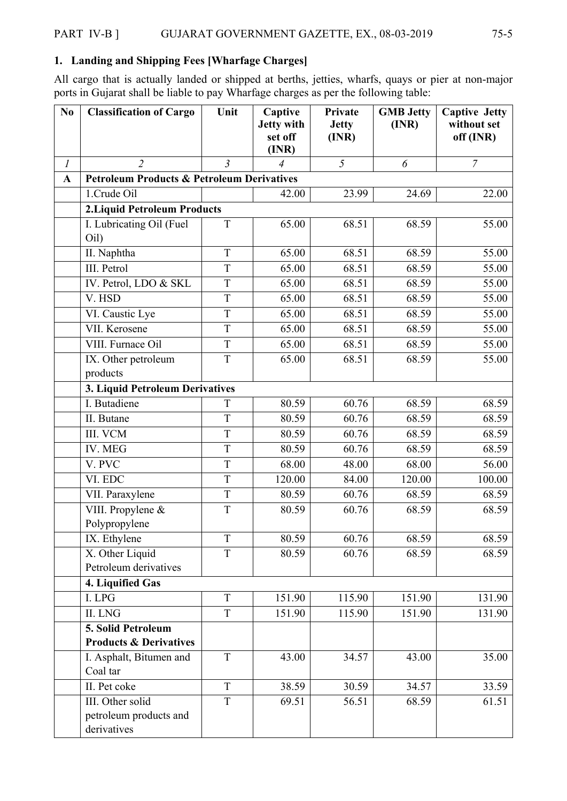## **1. Landing and Shipping Fees [Wharfage Charges]**

All cargo that is actually landed or shipped at berths, jetties, wharfs, quays or pier at non-major ports in Gujarat shall be liable to pay Wharfage charges as per the following table:

| N <sub>0</sub>   | <b>Classification of Cargo</b>                            | Unit           | Captive<br>Jetty with<br>set off<br>(INR) | Private<br><b>Jetty</b><br>(INR) | <b>GMB</b> Jetty<br>(INR) | <b>Captive Jetty</b><br>without set<br>off (INR) |
|------------------|-----------------------------------------------------------|----------------|-------------------------------------------|----------------------------------|---------------------------|--------------------------------------------------|
| $\boldsymbol{l}$ | $\overline{2}$                                            | $\overline{3}$ | $\overline{4}$                            | 5                                | 6                         | $\overline{7}$                                   |
| A                | <b>Petroleum Products &amp; Petroleum Derivatives</b>     |                |                                           |                                  |                           |                                                  |
|                  | 1.Crude Oil                                               |                | 42.00                                     | 23.99                            | 24.69                     | 22.00                                            |
|                  | <b>2. Liquid Petroleum Products</b>                       |                |                                           |                                  |                           |                                                  |
|                  | I. Lubricating Oil (Fuel<br>Oil)                          | T              | 65.00                                     | 68.51                            | 68.59                     | 55.00                                            |
|                  | II. Naphtha                                               | T              | 65.00                                     | 68.51                            | 68.59                     | 55.00                                            |
|                  | III. Petrol                                               | T              | 65.00                                     | 68.51                            | 68.59                     | 55.00                                            |
|                  | IV. Petrol, LDO & SKL                                     | T              | 65.00                                     | 68.51                            | 68.59                     | 55.00                                            |
|                  | V. HSD                                                    | T              | 65.00                                     | 68.51                            | 68.59                     | 55.00                                            |
|                  | VI. Caustic Lye                                           | T              | 65.00                                     | 68.51                            | 68.59                     | 55.00                                            |
|                  | VII. Kerosene                                             | T              | 65.00                                     | 68.51                            | 68.59                     | 55.00                                            |
|                  | VIII. Furnace Oil                                         | $\mathbf T$    | 65.00                                     | 68.51                            | 68.59                     | 55.00                                            |
|                  | IX. Other petroleum<br>products                           | T              | 65.00                                     | 68.51                            | 68.59                     | 55.00                                            |
|                  | 3. Liquid Petroleum Derivatives                           |                |                                           |                                  |                           |                                                  |
|                  | I. Butadiene                                              | T              | 80.59                                     | 60.76                            | 68.59                     | 68.59                                            |
|                  | II. Butane                                                | T              | 80.59                                     | 60.76                            | 68.59                     | 68.59                                            |
|                  | III. VCM                                                  | T              | 80.59                                     | 60.76                            | 68.59                     | 68.59                                            |
|                  | IV. MEG                                                   | T              | 80.59                                     | 60.76                            | 68.59                     | 68.59                                            |
|                  | V. PVC                                                    | T              | 68.00                                     | 48.00                            | 68.00                     | 56.00                                            |
|                  | VI. EDC                                                   | T              | 120.00                                    | 84.00                            | 120.00                    | 100.00                                           |
|                  | VII. Paraxylene                                           | T              | 80.59                                     | 60.76                            | 68.59                     | 68.59                                            |
|                  | VIII. Propylene &<br>Polypropylene                        | T              | 80.59                                     | 60.76                            | 68.59                     | 68.59                                            |
|                  | IX. Ethylene                                              | T              | 80.59                                     | 60.76                            | 68.59                     | 68.59                                            |
|                  | X. Other Liquid<br>Petroleum derivatives                  | T              | 80.59                                     | 60.76                            | 68.59                     | 68.59                                            |
|                  | 4. Liquified Gas                                          |                |                                           |                                  |                           |                                                  |
|                  | I. LPG                                                    | T              | 151.90                                    | 115.90                           | 151.90                    | 131.90                                           |
|                  | II. LNG                                                   | T              | 151.90                                    | 115.90                           | 151.90                    | 131.90                                           |
|                  | 5. Solid Petroleum<br><b>Products &amp; Derivatives</b>   |                |                                           |                                  |                           |                                                  |
|                  | I. Asphalt, Bitumen and<br>Coal tar                       | T              | 43.00                                     | 34.57                            | 43.00                     | 35.00                                            |
|                  | II. Pet coke                                              | T              | 38.59                                     | 30.59                            | 34.57                     | 33.59                                            |
|                  | III. Other solid<br>petroleum products and<br>derivatives | T              | 69.51                                     | 56.51                            | 68.59                     | 61.51                                            |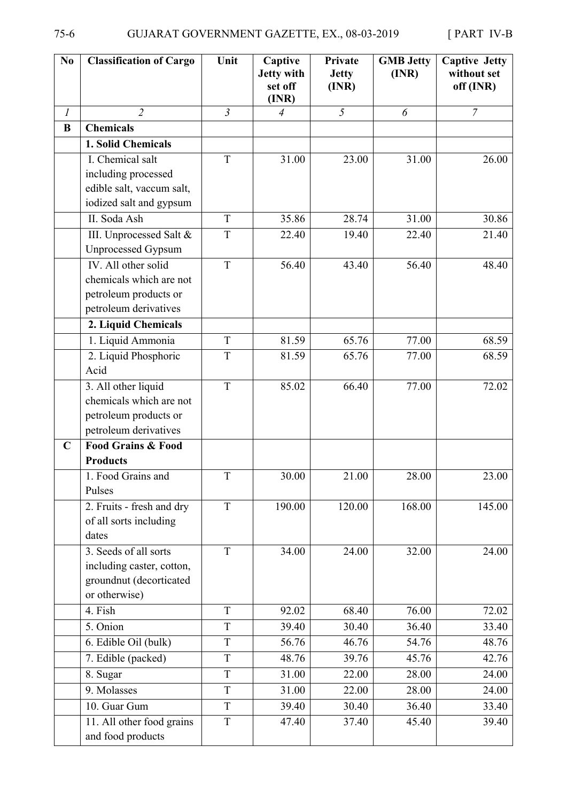| N <sub>0</sub> | <b>Classification of Cargo</b>                                                                   | Unit           | Captive<br><b>Jetty with</b><br>set off<br>(INR) | Private<br><b>Jetty</b><br>(INR) | <b>GMB</b> Jetty<br>(INR) | <b>Captive Jetty</b><br>without set<br>off (INR) |
|----------------|--------------------------------------------------------------------------------------------------|----------------|--------------------------------------------------|----------------------------------|---------------------------|--------------------------------------------------|
| $\mathfrak{I}$ | $\overline{2}$                                                                                   | $\mathfrak{Z}$ | $\overline{4}$                                   | 5                                | 6                         | $\overline{7}$                                   |
| B              | <b>Chemicals</b>                                                                                 |                |                                                  |                                  |                           |                                                  |
|                | 1. Solid Chemicals                                                                               |                |                                                  |                                  |                           |                                                  |
|                | I. Chemical salt<br>including processed<br>edible salt, vaccum salt,<br>iodized salt and gypsum  | T              | 31.00                                            | 23.00                            | 31.00                     | 26.00                                            |
|                | II. Soda Ash                                                                                     | T              | 35.86                                            | 28.74                            | 31.00                     | 30.86                                            |
|                | III. Unprocessed Salt &<br><b>Unprocessed Gypsum</b>                                             | T              | 22.40                                            | 19.40                            | 22.40                     | 21.40                                            |
|                | IV. All other solid<br>chemicals which are not<br>petroleum products or<br>petroleum derivatives | T              | 56.40                                            | 43.40                            | 56.40                     | 48.40                                            |
|                | 2. Liquid Chemicals                                                                              |                |                                                  |                                  |                           |                                                  |
|                | 1. Liquid Ammonia                                                                                | T              | 81.59                                            | 65.76                            | 77.00                     | 68.59                                            |
|                | 2. Liquid Phosphoric<br>Acid                                                                     | $\mathbf T$    | 81.59                                            | 65.76                            | 77.00                     | 68.59                                            |
|                | 3. All other liquid<br>chemicals which are not<br>petroleum products or<br>petroleum derivatives | T              | 85.02                                            | 66.40                            | 77.00                     | 72.02                                            |
| $\mathbf C$    | <b>Food Grains &amp; Food</b><br><b>Products</b>                                                 |                |                                                  |                                  |                           |                                                  |
|                | Food Grains and<br>Pulses                                                                        | T              | 30.00                                            | 21.00                            | 28.00                     | 23.00                                            |
|                | 2. Fruits - fresh and dry<br>of all sorts including<br>dates                                     | T              | 190.00                                           | 120.00                           | 168.00                    | 145.00                                           |
|                | 3. Seeds of all sorts<br>including caster, cotton,<br>groundnut (decorticated<br>or otherwise)   | T              | 34.00                                            | 24.00                            | 32.00                     | 24.00                                            |
|                | 4. Fish                                                                                          | T              | 92.02                                            | 68.40                            | 76.00                     | 72.02                                            |
|                | 5. Onion                                                                                         | T              | 39.40                                            | 30.40                            | 36.40                     | 33.40                                            |
|                | 6. Edible Oil (bulk)                                                                             | T              | 56.76                                            | 46.76                            | 54.76                     | 48.76                                            |
|                | 7. Edible (packed)                                                                               | T              | 48.76                                            | 39.76                            | 45.76                     | 42.76                                            |
|                | 8. Sugar                                                                                         | T              | 31.00                                            | 22.00                            | 28.00                     | 24.00                                            |
|                | 9. Molasses                                                                                      | T              | 31.00                                            | 22.00                            | 28.00                     | 24.00                                            |
|                | 10. Guar Gum                                                                                     | T              | 39.40                                            | 30.40                            | 36.40                     | 33.40                                            |
|                | 11. All other food grains<br>and food products                                                   | $\mathbf T$    | 47.40                                            | 37.40                            | 45.40                     | 39.40                                            |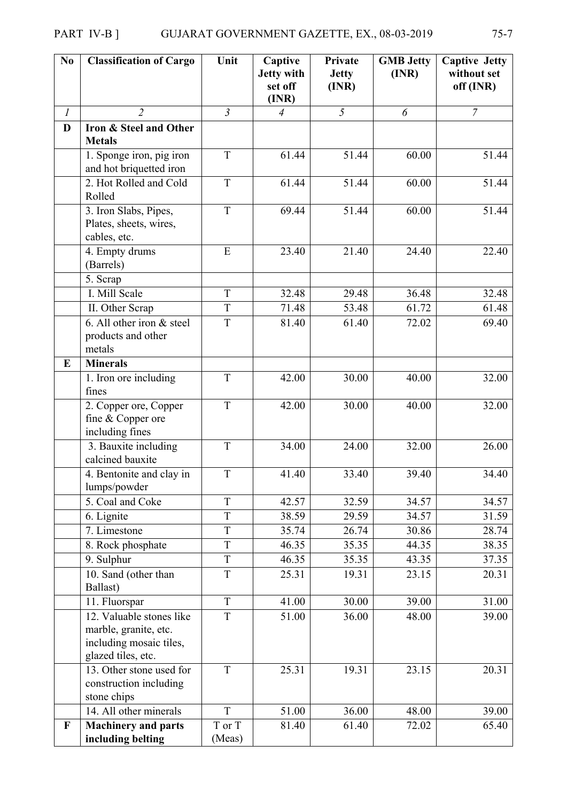| N <sub>0</sub> | <b>Classification of Cargo</b>                                                                     | Unit             | Captive<br><b>Jetty with</b><br>set off<br>(INR) | Private<br><b>Jetty</b><br>(INR) | <b>GMB Jetty</b><br>(INR) | <b>Captive Jetty</b><br>without set<br>off (INR) |
|----------------|----------------------------------------------------------------------------------------------------|------------------|--------------------------------------------------|----------------------------------|---------------------------|--------------------------------------------------|
| $\mathfrak{I}$ | $\overline{2}$                                                                                     | $\overline{3}$   | $\overline{4}$                                   | 5                                | 6                         | $\overline{7}$                                   |
| D              | Iron & Steel and Other<br><b>Metals</b>                                                            |                  |                                                  |                                  |                           |                                                  |
|                | 1. Sponge iron, pig iron<br>and hot briquetted iron                                                | T                | 61.44                                            | 51.44                            | 60.00                     | 51.44                                            |
|                | 2. Hot Rolled and Cold<br>Rolled                                                                   | T                | 61.44                                            | 51.44                            | 60.00                     | 51.44                                            |
|                | 3. Iron Slabs, Pipes,<br>Plates, sheets, wires,<br>cables, etc.                                    | T                | 69.44                                            | 51.44                            | 60.00                     | 51.44                                            |
|                | 4. Empty drums<br>(Barrels)                                                                        | E                | 23.40                                            | 21.40                            | 24.40                     | 22.40                                            |
|                | 5. Scrap                                                                                           |                  |                                                  |                                  |                           |                                                  |
|                | I. Mill Scale                                                                                      | $\rm T$          | 32.48                                            | 29.48                            | 36.48                     | 32.48                                            |
|                | II. Other Scrap                                                                                    | T                | 71.48                                            | 53.48                            | 61.72                     | 61.48                                            |
|                | 6. All other iron $&$ steel<br>products and other<br>metals                                        | T                | 81.40                                            | 61.40                            | 72.02                     | 69.40                                            |
| E              | <b>Minerals</b>                                                                                    |                  |                                                  |                                  |                           |                                                  |
|                | 1. Iron ore including<br>fines                                                                     | T                | 42.00                                            | 30.00                            | 40.00                     | 32.00                                            |
|                | 2. Copper ore, Copper<br>fine & Copper ore<br>including fines                                      | T                | 42.00                                            | 30.00                            | 40.00                     | 32.00                                            |
|                | 3. Bauxite including<br>calcined bauxite                                                           | T                | 34.00                                            | 24.00                            | 32.00                     | 26.00                                            |
|                | 4. Bentonite and clay in<br>lumps/powder                                                           | T                | 41.40                                            | 33.40                            | 39.40                     | 34.40                                            |
|                | 5. Coal and Coke                                                                                   | T                | 42.57                                            | 32.59                            | 34.57                     | 34.57                                            |
|                | 6. Lignite                                                                                         | T                | 38.59                                            | 29.59                            | 34.57                     | 31.59                                            |
|                | 7. Limestone                                                                                       | T                | 35.74                                            | 26.74                            | 30.86                     | 28.74                                            |
|                | 8. Rock phosphate                                                                                  | T                | 46.35                                            | 35.35                            | 44.35                     | 38.35                                            |
|                | 9. Sulphur                                                                                         | T                | 46.35                                            | 35.35                            | 43.35                     | 37.35                                            |
|                | 10. Sand (other than<br>Ballast)                                                                   | T                | 25.31                                            | 19.31                            | 23.15                     | 20.31                                            |
|                | 11. Fluorspar                                                                                      | $\overline{T}$   | 41.00                                            | 30.00                            | 39.00                     | 31.00                                            |
|                | 12. Valuable stones like<br>marble, granite, etc.<br>including mosaic tiles,<br>glazed tiles, etc. | T                | 51.00                                            | 36.00                            | 48.00                     | 39.00                                            |
|                | 13. Other stone used for<br>construction including<br>stone chips                                  | T                | 25.31                                            | 19.31                            | 23.15                     | 20.31                                            |
|                | 14. All other minerals                                                                             | T                | 51.00                                            | 36.00                            | 48.00                     | 39.00                                            |
| $\mathbf{F}$   | <b>Machinery and parts</b><br>including belting                                                    | T or T<br>(Meas) | 81.40                                            | 61.40                            | 72.02                     | 65.40                                            |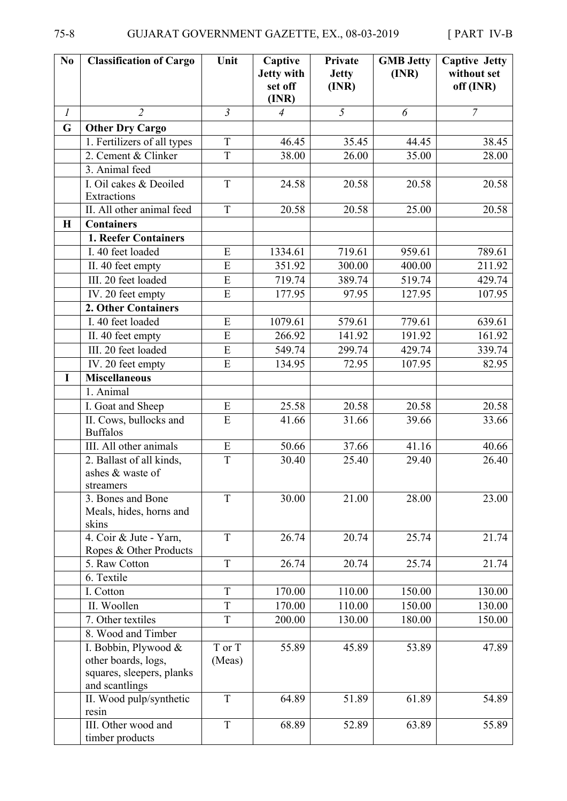| No            | <b>Classification of Cargo</b>                                                             | Unit             | Captive<br>Jetty with<br>set off<br>(INR) | Private<br><b>Jetty</b><br>(INR) | <b>GMB Jetty</b><br>(INR) | <b>Captive Jetty</b><br>without set<br>off (INR) |
|---------------|--------------------------------------------------------------------------------------------|------------------|-------------------------------------------|----------------------------------|---------------------------|--------------------------------------------------|
| $\mathfrak l$ | $\overline{2}$                                                                             | $\mathfrak{Z}$   | $\overline{4}$                            | 5                                | 6                         | $\overline{7}$                                   |
| $\mathbf G$   | <b>Other Dry Cargo</b>                                                                     |                  |                                           |                                  |                           |                                                  |
|               | 1. Fertilizers of all types                                                                | T                | 46.45                                     | 35.45                            | 44.45                     | 38.45                                            |
|               | 2. Cement & Clinker                                                                        | T                | 38.00                                     | 26.00                            | 35.00                     | 28.00                                            |
|               | 3. Animal feed                                                                             |                  |                                           |                                  |                           |                                                  |
|               | I. Oil cakes & Deoiled<br>Extractions                                                      | $\mathbf T$      | 24.58                                     | 20.58                            | 20.58                     | 20.58                                            |
|               | II. All other animal feed                                                                  | $\overline{T}$   | 20.58                                     | 20.58                            | 25.00                     | 20.58                                            |
| $\bf H$       | <b>Containers</b>                                                                          |                  |                                           |                                  |                           |                                                  |
|               | 1. Reefer Containers                                                                       |                  |                                           |                                  |                           |                                                  |
|               | I. 40 feet loaded                                                                          | ${\bf E}$        | 1334.61                                   | 719.61                           | 959.61                    | 789.61                                           |
|               | II. 40 feet empty                                                                          | E                | 351.92                                    | 300.00                           | 400.00                    | 211.92                                           |
|               | III. 20 feet loaded                                                                        | E                | 719.74                                    | 389.74                           | 519.74                    | 429.74                                           |
|               | IV. 20 feet empty                                                                          | E                | 177.95                                    | 97.95                            | 127.95                    | 107.95                                           |
|               | 2. Other Containers                                                                        |                  |                                           |                                  |                           |                                                  |
|               | I. 40 feet loaded                                                                          | E                | 1079.61                                   | 579.61                           | 779.61                    | 639.61                                           |
|               | II. 40 feet empty                                                                          | E                | 266.92                                    | 141.92                           | 191.92                    | 161.92                                           |
|               | III. 20 feet loaded                                                                        | ${\bf E}$        | 549.74                                    | 299.74                           | 429.74                    | 339.74                                           |
|               | IV. 20 feet empty                                                                          | $\overline{E}$   | 134.95                                    | 72.95                            | 107.95                    | 82.95                                            |
| I             | <b>Miscellaneous</b>                                                                       |                  |                                           |                                  |                           |                                                  |
|               | 1. Animal                                                                                  |                  |                                           |                                  |                           |                                                  |
|               | I. Goat and Sheep                                                                          | ${\bf E}$        | 25.58                                     | 20.58                            | 20.58                     | 20.58                                            |
|               | II. Cows, bullocks and<br><b>Buffalos</b>                                                  | E                | 41.66                                     | 31.66                            | 39.66                     | 33.66                                            |
|               | III. All other animals                                                                     | ${\bf E}$        | 50.66                                     | 37.66                            | 41.16                     | 40.66                                            |
|               | 2. Ballast of all kinds,<br>ashes & waste of<br>streamers                                  | $\mathbf T$      | 30.40                                     | 25.40                            | 29.40                     | 26.40                                            |
|               | 3. Bones and Bone<br>Meals, hides, horns and<br>skins                                      | T                | 30.00                                     | 21.00                            | 28.00                     | 23.00                                            |
|               | 4. Coir & Jute - Yarn,<br>Ropes & Other Products                                           | T                | 26.74                                     | 20.74                            | 25.74                     | 21.74                                            |
|               | 5. Raw Cotton                                                                              | T                | 26.74                                     | 20.74                            | 25.74                     | 21.74                                            |
|               | 6. Textile                                                                                 |                  |                                           |                                  |                           |                                                  |
|               | I. Cotton                                                                                  | T                | 170.00                                    | 110.00                           | 150.00                    | 130.00                                           |
|               | II. Woollen                                                                                | T                | 170.00                                    | 110.00                           | 150.00                    | 130.00                                           |
|               | 7. Other textiles                                                                          | T                | 200.00                                    | 130.00                           | 180.00                    | 150.00                                           |
|               | 8. Wood and Timber                                                                         |                  |                                           |                                  |                           |                                                  |
|               | I. Bobbin, Plywood &<br>other boards, logs,<br>squares, sleepers, planks<br>and scantlings | T or T<br>(Meas) | 55.89                                     | 45.89                            | 53.89                     | 47.89                                            |
|               | II. Wood pulp/synthetic<br>resin                                                           | T                | 64.89                                     | 51.89                            | 61.89                     | 54.89                                            |
|               | III. Other wood and<br>timber products                                                     | T                | 68.89                                     | 52.89                            | 63.89                     | 55.89                                            |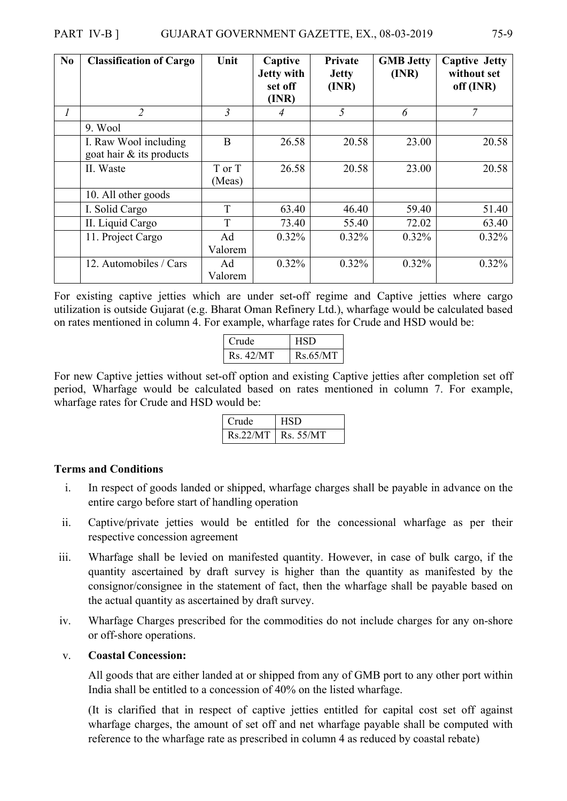| No | <b>Classification of Cargo</b>                       | Unit             | Captive<br><b>Jetty with</b><br>set off<br>(INR) | Private<br><b>Jetty</b><br>(INR) | <b>GMB Jetty</b><br>(INR) | <b>Captive Jetty</b><br>without set<br>off (INR) |
|----|------------------------------------------------------|------------------|--------------------------------------------------|----------------------------------|---------------------------|--------------------------------------------------|
| 1  | $\overline{2}$                                       | 3                |                                                  | 5                                | 6                         | 7                                                |
|    | 9. Wool                                              |                  |                                                  |                                  |                           |                                                  |
|    | I. Raw Wool including<br>goat hair $\&$ its products | B                | 26.58                                            | 20.58                            | 23.00                     | 20.58                                            |
|    | II. Waste                                            | T or T<br>(Meas) | 26.58                                            | 20.58                            | 23.00                     | 20.58                                            |
|    | 10. All other goods                                  |                  |                                                  |                                  |                           |                                                  |
|    | I. Solid Cargo                                       | T                | 63.40                                            | 46.40                            | 59.40                     | 51.40                                            |
|    | II. Liquid Cargo                                     | T                | 73.40                                            | 55.40                            | 72.02                     | 63.40                                            |
|    | 11. Project Cargo                                    | Ad<br>Valorem    | 0.32%                                            | $0.32\%$                         | $0.32\%$                  | $0.32\%$                                         |
|    | 12. Automobiles / Cars                               | Ad<br>Valorem    | 0.32%                                            | $0.32\%$                         | 0.32%                     | 0.32%                                            |

For existing captive jetties which are under set-off regime and Captive jetties where cargo utilization is outside Gujarat (e.g. Bharat Oman Refinery Ltd.), wharfage would be calculated based on rates mentioned in column 4. For example, wharfage rates for Crude and HSD would be:

| Crude    | HSD      |
|----------|----------|
| Rs.42/MT | Rs.65/MT |

For new Captive jetties without set-off option and existing Captive jetties after completion set off period, Wharfage would be calculated based on rates mentioned in column 7. For example, wharfage rates for Crude and HSD would be:

| Crude | <b>HSD</b>              |
|-------|-------------------------|
|       | $Rs.22/MT$   $Rs.55/MT$ |

#### **Terms and Conditions**

- i. In respect of goods landed or shipped, wharfage charges shall be payable in advance on the entire cargo before start of handling operation
- ii. Captive/private jetties would be entitled for the concessional wharfage as per their respective concession agreement
- iii. Wharfage shall be levied on manifested quantity. However, in case of bulk cargo, if the quantity ascertained by draft survey is higher than the quantity as manifested by the consignor/consignee in the statement of fact, then the wharfage shall be payable based on the actual quantity as ascertained by draft survey.
- iv. Wharfage Charges prescribed for the commodities do not include charges for any on-shore or off-shore operations.

#### v. **Coastal Concession:**

All goods that are either landed at or shipped from any of GMB port to any other port within India shall be entitled to a concession of 40% on the listed wharfage.

(It is clarified that in respect of captive jetties entitled for capital cost set off against wharfage charges, the amount of set off and net wharfage payable shall be computed with reference to the wharfage rate as prescribed in column 4 as reduced by coastal rebate)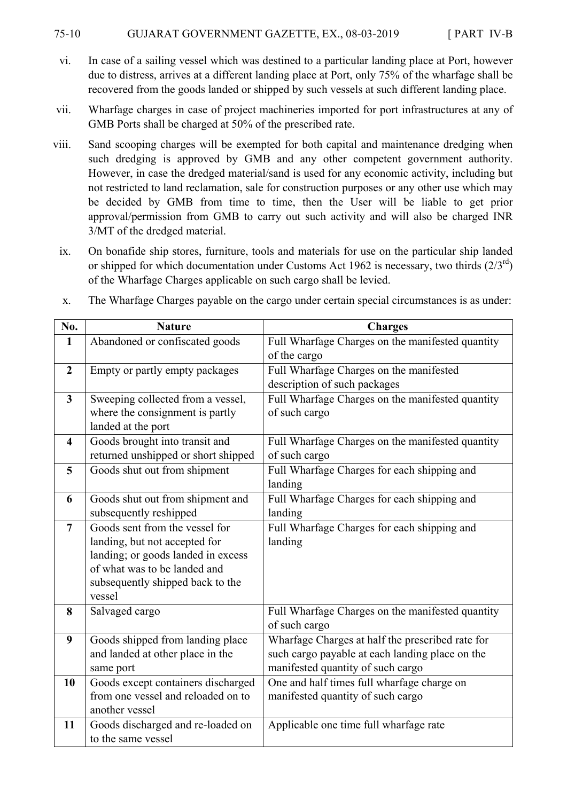#### 75-10 GUJARAT GOVERNMENT GAZETTE, EX., 08-03-2019 [ PART IV-B

- vi. In case of a sailing vessel which was destined to a particular landing place at Port, however due to distress, arrives at a different landing place at Port, only 75% of the wharfage shall be recovered from the goods landed or shipped by such vessels at such different landing place.
- vii. Wharfage charges in case of project machineries imported for port infrastructures at any of GMB Ports shall be charged at 50% of the prescribed rate.
- viii. Sand scooping charges will be exempted for both capital and maintenance dredging when such dredging is approved by GMB and any other competent government authority. However, in case the dredged material/sand is used for any economic activity, including but not restricted to land reclamation, sale for construction purposes or any other use which may be decided by GMB from time to time, then the User will be liable to get prior approval/permission from GMB to carry out such activity and will also be charged INR 3/MT of the dredged material.
	- ix. On bonafide ship stores, furniture, tools and materials for use on the particular ship landed or shipped for which documentation under Customs Act 1962 is necessary, two thirds  $(2/3^{\text{rd}})$ of the Wharfage Charges applicable on such cargo shall be levied.

| No.                     | <b>Nature</b>                                 | <b>Charges</b>                                                                                      |
|-------------------------|-----------------------------------------------|-----------------------------------------------------------------------------------------------------|
| $\mathbf{1}$            | Abandoned or confiscated goods                | Full Wharfage Charges on the manifested quantity                                                    |
|                         |                                               | of the cargo                                                                                        |
| $\overline{2}$          | Empty or partly empty packages                | Full Wharfage Charges on the manifested                                                             |
|                         |                                               | description of such packages                                                                        |
| $\mathbf{3}$            | Sweeping collected from a vessel,             | Full Wharfage Charges on the manifested quantity                                                    |
|                         | where the consignment is partly               | of such cargo                                                                                       |
|                         | landed at the port                            |                                                                                                     |
| $\overline{\mathbf{4}}$ | Goods brought into transit and                | Full Wharfage Charges on the manifested quantity                                                    |
|                         | returned unshipped or short shipped           | of such cargo                                                                                       |
| 5                       | Goods shut out from shipment                  | Full Wharfage Charges for each shipping and                                                         |
|                         |                                               | landing                                                                                             |
| 6                       | Goods shut out from shipment and              | Full Wharfage Charges for each shipping and                                                         |
|                         | subsequently reshipped                        | landing                                                                                             |
| $\overline{7}$          | Goods sent from the vessel for                | Full Wharfage Charges for each shipping and                                                         |
|                         | landing, but not accepted for                 | landing                                                                                             |
|                         | landing; or goods landed in excess            |                                                                                                     |
|                         | of what was to be landed and                  |                                                                                                     |
|                         | subsequently shipped back to the              |                                                                                                     |
|                         | vessel                                        |                                                                                                     |
| 8                       | Salvaged cargo                                | Full Wharfage Charges on the manifested quantity                                                    |
|                         |                                               | of such cargo                                                                                       |
| 9                       | Goods shipped from landing place              | Wharfage Charges at half the prescribed rate for<br>such cargo payable at each landing place on the |
|                         | and landed at other place in the<br>same port | manifested quantity of such cargo                                                                   |
| 10                      | Goods except containers discharged            | One and half times full wharfage charge on                                                          |
|                         | from one vessel and reloaded on to            | manifested quantity of such cargo                                                                   |
|                         | another vessel                                |                                                                                                     |
| 11                      | Goods discharged and re-loaded on             | Applicable one time full wharfage rate                                                              |
|                         | to the same vessel                            |                                                                                                     |
|                         |                                               |                                                                                                     |

x. The Wharfage Charges payable on the cargo under certain special circumstances is as under: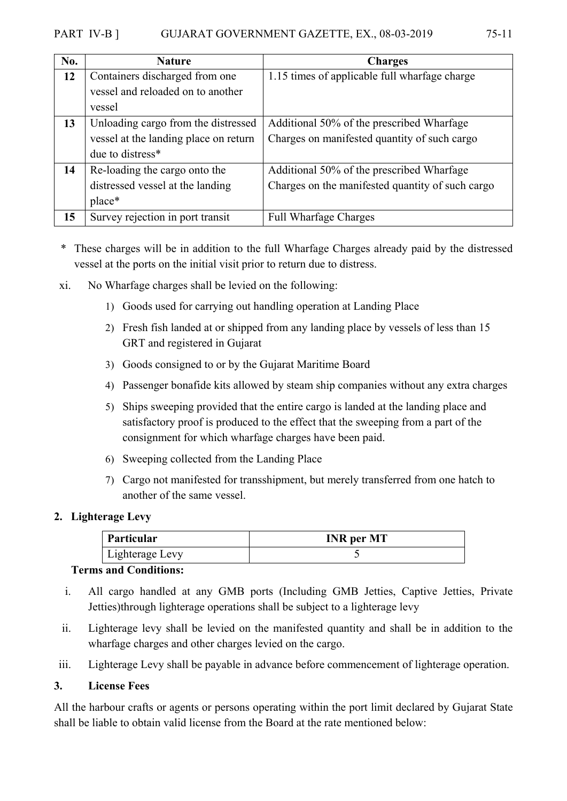## PART IV-B ] GUJARAT GOVERNMENT GAZETTE, EX., 08-03-2019 75-11

| No. | <b>Nature</b>                         | <b>Charges</b>                                   |  |
|-----|---------------------------------------|--------------------------------------------------|--|
| 12  | Containers discharged from one        | 1.15 times of applicable full wharfage charge    |  |
|     | vessel and reloaded on to another     |                                                  |  |
|     | vessel                                |                                                  |  |
| 13  | Unloading cargo from the distressed   | Additional 50% of the prescribed Wharfage        |  |
|     | vessel at the landing place on return | Charges on manifested quantity of such cargo     |  |
|     | due to distress <sup>*</sup>          |                                                  |  |
| 14  | Re-loading the cargo onto the         | Additional 50% of the prescribed Wharfage        |  |
|     | distressed vessel at the landing      | Charges on the manifested quantity of such cargo |  |
|     | place*                                |                                                  |  |

- \* These charges will be in addition to the full Wharfage Charges already paid by the distressed vessel at the ports on the initial visit prior to return due to distress.
- xi. No Wharfage charges shall be levied on the following:

**15** Survey rejection in port transit Full Wharfage Charges

- 1) Goods used for carrying out handling operation at Landing Place
- 2) Fresh fish landed at or shipped from any landing place by vessels of less than 15 GRT and registered in Gujarat
- 3) Goods consigned to or by the Gujarat Maritime Board
- 4) Passenger bonafide kits allowed by steam ship companies without any extra charges
- 5) Ships sweeping provided that the entire cargo is landed at the landing place and satisfactory proof is produced to the effect that the sweeping from a part of the consignment for which wharfage charges have been paid.
- 6) Sweeping collected from the Landing Place
- 7) Cargo not manifested for transshipment, but merely transferred from one hatch to another of the same vessel.

## **2. Lighterage Levy**

| Particular      | <b>INR</b> per MT |
|-----------------|-------------------|
| Lighterage Levy |                   |

## **Terms and Conditions:**

- i. All cargo handled at any GMB ports (Including GMB Jetties, Captive Jetties, Private Jetties)through lighterage operations shall be subject to a lighterage levy
- ii. Lighterage levy shall be levied on the manifested quantity and shall be in addition to the wharfage charges and other charges levied on the cargo.
- iii. Lighterage Levy shall be payable in advance before commencement of lighterage operation.

## **3. License Fees**

All the harbour crafts or agents or persons operating within the port limit declared by Gujarat State shall be liable to obtain valid license from the Board at the rate mentioned below: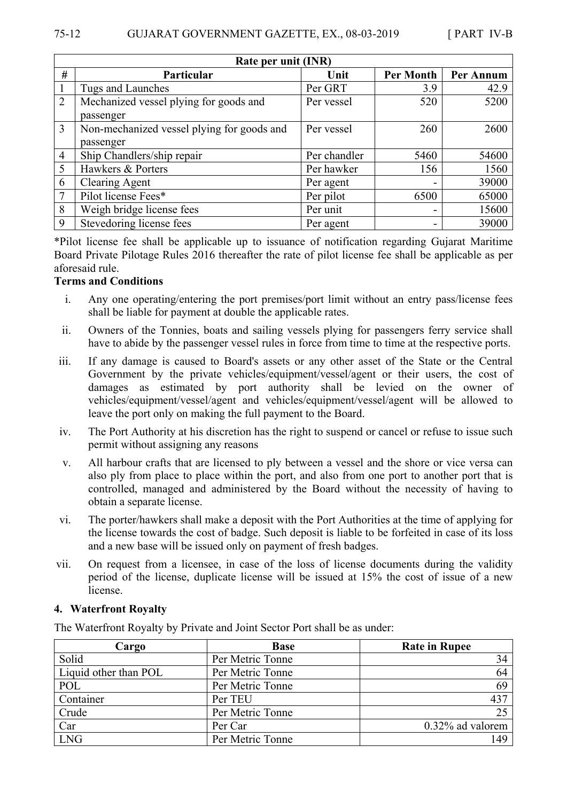| Rate per unit (INR) |                                            |              |                  |           |
|---------------------|--------------------------------------------|--------------|------------------|-----------|
| #                   | Particular                                 | Unit         | <b>Per Month</b> | Per Annum |
|                     | Tugs and Launches                          | Per GRT      | 3.9              | 42.9      |
| $\overline{2}$      | Mechanized vessel plying for goods and     | Per vessel   | 520              | 5200      |
|                     | passenger                                  |              |                  |           |
| 3                   | Non-mechanized vessel plying for goods and | Per vessel   | 260              | 2600      |
|                     | passenger                                  |              |                  |           |
| $\overline{4}$      | Ship Chandlers/ship repair                 | Per chandler | 5460             | 54600     |
| 5                   | Hawkers & Porters                          | Per hawker   | 156              | 1560      |
| 6                   | <b>Clearing Agent</b>                      | Per agent    | -                | 39000     |
| 7                   | Pilot license Fees*                        | Per pilot    | 6500             | 65000     |
| 8                   | Weigh bridge license fees                  | Per unit     | -                | 15600     |
| 9                   | Stevedoring license fees                   | Per agent    | -                | 39000     |

\*Pilot license fee shall be applicable up to issuance of notification regarding Gujarat Maritime Board Private Pilotage Rules 2016 thereafter the rate of pilot license fee shall be applicable as per aforesaid rule.

#### **Terms and Conditions**

- i. Any one operating/entering the port premises/port limit without an entry pass/license fees shall be liable for payment at double the applicable rates.
- ii. Owners of the Tonnies, boats and sailing vessels plying for passengers ferry service shall have to abide by the passenger vessel rules in force from time to time at the respective ports.
- iii. If any damage is caused to Board's assets or any other asset of the State or the Central Government by the private vehicles/equipment/vessel/agent or their users, the cost of damages as estimated by port authority shall be levied on the owner of vehicles/equipment/vessel/agent and vehicles/equipment/vessel/agent will be allowed to leave the port only on making the full payment to the Board.
- iv. The Port Authority at his discretion has the right to suspend or cancel or refuse to issue such permit without assigning any reasons
- v. All harbour crafts that are licensed to ply between a vessel and the shore or vice versa can also ply from place to place within the port, and also from one port to another port that is controlled, managed and administered by the Board without the necessity of having to obtain a separate license.
- vi. The porter/hawkers shall make a deposit with the Port Authorities at the time of applying for the license towards the cost of badge. Such deposit is liable to be forfeited in case of its loss and a new base will be issued only on payment of fresh badges.
- vii. On request from a licensee, in case of the loss of license documents during the validity period of the license, duplicate license will be issued at 15% the cost of issue of a new license.

#### **4. Waterfront Royalty**

The Waterfront Royalty by Private and Joint Sector Port shall be as under:

| Cargo                 | <b>Base</b>      | <b>Rate in Rupee</b> |
|-----------------------|------------------|----------------------|
| Solid                 | Per Metric Tonne | 34                   |
| Liquid other than POL | Per Metric Tonne | 64                   |
| POL                   | Per Metric Tonne | 69                   |
| Container             | Per TEU          | 437                  |
| Crude                 | Per Metric Tonne | 25                   |
| Car                   | Per Car          | $0.32\%$ ad valorem  |
| <b>LNG</b>            | Per Metric Tonne | 149                  |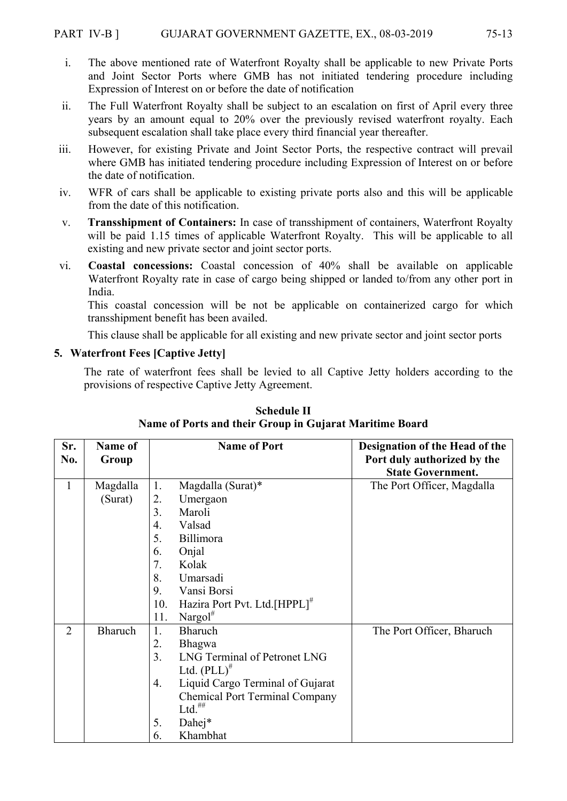- i. The above mentioned rate of Waterfront Royalty shall be applicable to new Private Ports and Joint Sector Ports where GMB has not initiated tendering procedure including Expression of Interest on or before the date of notification
- ii. The Full Waterfront Royalty shall be subject to an escalation on first of April every three years by an amount equal to 20% over the previously revised waterfront royalty. Each subsequent escalation shall take place every third financial year thereafter.
- iii. However, for existing Private and Joint Sector Ports, the respective contract will prevail where GMB has initiated tendering procedure including Expression of Interest on or before the date of notification.
- iv. WFR of cars shall be applicable to existing private ports also and this will be applicable from the date of this notification.
- v. **Transshipment of Containers:** In case of transshipment of containers, Waterfront Royalty will be paid 1.15 times of applicable Waterfront Royalty. This will be applicable to all existing and new private sector and joint sector ports.
- vi. **Coastal concessions:** Coastal concession of 40% shall be available on applicable Waterfront Royalty rate in case of cargo being shipped or landed to/from any other port in India.

This coastal concession will be not be applicable on containerized cargo for which transshipment benefit has been availed.

This clause shall be applicable for all existing and new private sector and joint sector ports

## **5. Waterfront Fees [Captive Jetty]**

The rate of waterfront fees shall be levied to all Captive Jetty holders according to the provisions of respective Captive Jetty Agreement.

| Sr.<br>No.     | <b>Name of</b><br>Group | <b>Name of Port</b>                              | Designation of the Head of the<br>Port duly authorized by the<br><b>State Government.</b> |
|----------------|-------------------------|--------------------------------------------------|-------------------------------------------------------------------------------------------|
| $\mathbf{1}$   | Magdalla                | 1.<br>Magdalla (Surat)*                          | The Port Officer, Magdalla                                                                |
|                | (Surat)                 | 2.<br>Umergaon                                   |                                                                                           |
|                |                         | 3.<br>Maroli                                     |                                                                                           |
|                |                         | Valsad<br>4.                                     |                                                                                           |
|                |                         | 5.<br>Billimora                                  |                                                                                           |
|                |                         | 6.<br>Onjal                                      |                                                                                           |
|                |                         | 7.<br>Kolak                                      |                                                                                           |
|                |                         | 8.<br>Umarsadi                                   |                                                                                           |
|                |                         | Vansi Borsi<br>9.                                |                                                                                           |
|                |                         | Hazira Port Pvt. Ltd. [HPPL] <sup>#</sup><br>10. |                                                                                           |
|                |                         | Nargol $^*$<br>11.                               |                                                                                           |
| $\overline{2}$ | Bharuch                 | Bharuch<br>1.                                    | The Port Officer, Bharuch                                                                 |
|                |                         | 2.<br><b>Bhagwa</b>                              |                                                                                           |
|                |                         | LNG Terminal of Petronet LNG<br>$\overline{3}$ . |                                                                                           |
|                |                         | Ltd. $(PLL)^{#}$                                 |                                                                                           |
|                |                         | Liquid Cargo Terminal of Gujarat<br>4.           |                                                                                           |
|                |                         | <b>Chemical Port Terminal Company</b>            |                                                                                           |
|                |                         | $Ltd.$ <sup><math>\#</math>#</sup>               |                                                                                           |
|                |                         | Dahej*<br>5.                                     |                                                                                           |
|                |                         | Khambhat<br>6.                                   |                                                                                           |

**Schedule II Name of Ports and their Group in Gujarat Maritime Board**